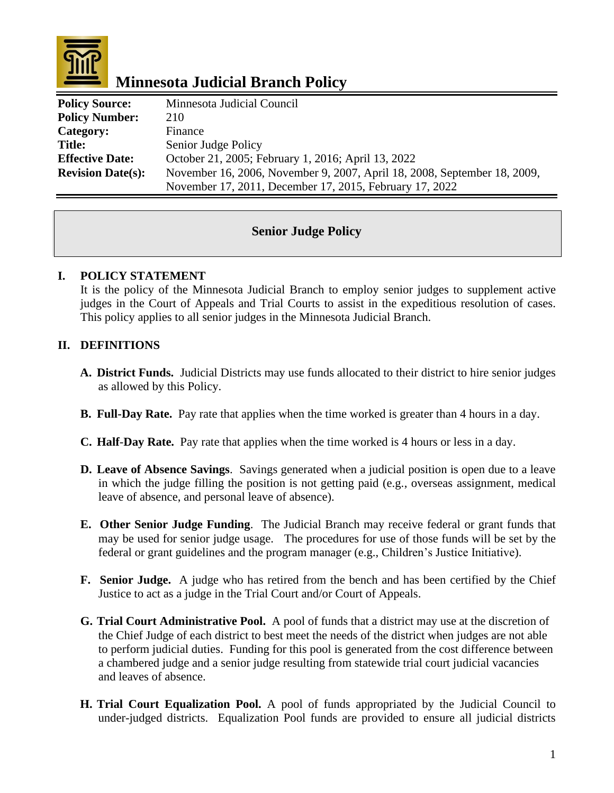

# **Minnesota Judicial Branch Policy**

| <b>Policy Source:</b>    | Minnesota Judicial Council                                               |
|--------------------------|--------------------------------------------------------------------------|
| <b>Policy Number:</b>    | 210                                                                      |
| Category:                | Finance                                                                  |
| <b>Title:</b>            | Senior Judge Policy                                                      |
| <b>Effective Date:</b>   | October 21, 2005; February 1, 2016; April 13, 2022                       |
| <b>Revision Date(s):</b> | November 16, 2006, November 9, 2007, April 18, 2008, September 18, 2009, |
|                          | November 17, 2011, December 17, 2015, February 17, 2022                  |

# **Senior Judge Policy**

## **I. POLICY STATEMENT**

It is the policy of the Minnesota Judicial Branch to employ senior judges to supplement active judges in the Court of Appeals and Trial Courts to assist in the expeditious resolution of cases. This policy applies to all senior judges in the Minnesota Judicial Branch.

# **II. DEFINITIONS**

- **A. District Funds.** Judicial Districts may use funds allocated to their district to hire senior judges as allowed by this Policy.
- **B. Full-Day Rate.** Pay rate that applies when the time worked is greater than 4 hours in a day.
- **C. Half**-**Day Rate.** Pay rate that applies when the time worked is 4 hours or less in a day.
- **D. Leave of Absence Savings**. Savings generated when a judicial position is open due to a leave in which the judge filling the position is not getting paid (e.g., overseas assignment, medical leave of absence, and personal leave of absence).
- **E. Other Senior Judge Funding**. The Judicial Branch may receive federal or grant funds that may be used for senior judge usage. The procedures for use of those funds will be set by the federal or grant guidelines and the program manager (e.g., Children's Justice Initiative).
- **F. Senior Judge.** A judge who has retired from the bench and has been certified by the Chief Justice to act as a judge in the Trial Court and/or Court of Appeals.
- **G. Trial Court Administrative Pool.** A pool of funds that a district may use at the discretion of the Chief Judge of each district to best meet the needs of the district when judges are not able to perform judicial duties. Funding for this pool is generated from the cost difference between a chambered judge and a senior judge resulting from statewide trial court judicial vacancies and leaves of absence.
- **H. Trial Court Equalization Pool.** A pool of funds appropriated by the Judicial Council to under-judged districts. Equalization Pool funds are provided to ensure all judicial districts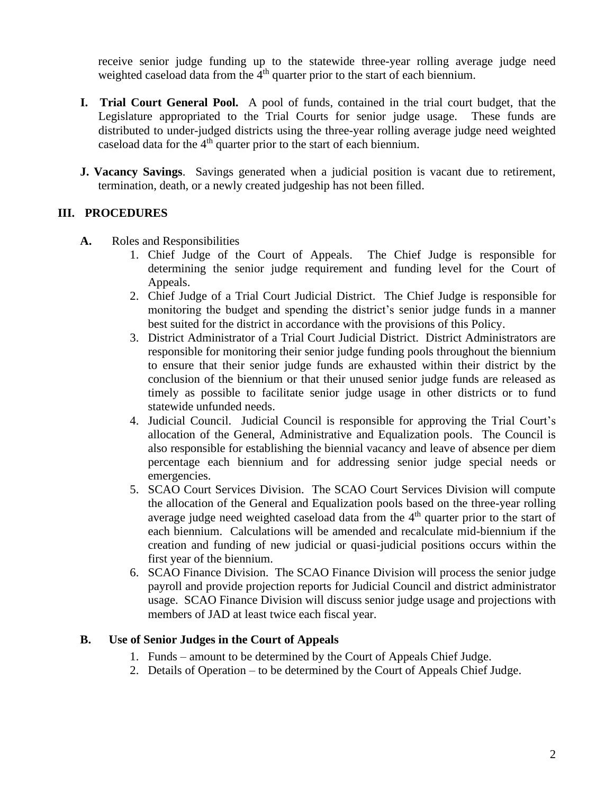receive senior judge funding up to the statewide three-year rolling average judge need weighted caseload data from the 4<sup>th</sup> quarter prior to the start of each biennium.

- **I. Trial Court General Pool.** A pool of funds, contained in the trial court budget, that the Legislature appropriated to the Trial Courts for senior judge usage. These funds are distributed to under-judged districts using the three-year rolling average judge need weighted caseload data for the  $4<sup>th</sup>$  quarter prior to the start of each biennium.
- **J. Vacancy Savings**. Savings generated when a judicial position is vacant due to retirement, termination, death, or a newly created judgeship has not been filled.

# **III. PROCEDURES**

- **A.** Roles and Responsibilities
	- 1. Chief Judge of the Court of Appeals. The Chief Judge is responsible for determining the senior judge requirement and funding level for the Court of Appeals.
	- 2. Chief Judge of a Trial Court Judicial District. The Chief Judge is responsible for monitoring the budget and spending the district's senior judge funds in a manner best suited for the district in accordance with the provisions of this Policy.
	- 3. District Administrator of a Trial Court Judicial District. District Administrators are responsible for monitoring their senior judge funding pools throughout the biennium to ensure that their senior judge funds are exhausted within their district by the conclusion of the biennium or that their unused senior judge funds are released as timely as possible to facilitate senior judge usage in other districts or to fund statewide unfunded needs.
	- 4. Judicial Council. Judicial Council is responsible for approving the Trial Court's allocation of the General, Administrative and Equalization pools. The Council is also responsible for establishing the biennial vacancy and leave of absence per diem percentage each biennium and for addressing senior judge special needs or emergencies.
	- 5. SCAO Court Services Division. The SCAO Court Services Division will compute the allocation of the General and Equalization pools based on the three-year rolling average judge need weighted caseload data from the 4<sup>th</sup> quarter prior to the start of each biennium. Calculations will be amended and recalculate mid-biennium if the creation and funding of new judicial or quasi-judicial positions occurs within the first year of the biennium.
	- 6. SCAO Finance Division. The SCAO Finance Division will process the senior judge payroll and provide projection reports for Judicial Council and district administrator usage. SCAO Finance Division will discuss senior judge usage and projections with members of JAD at least twice each fiscal year.

## **B. Use of Senior Judges in the Court of Appeals**

- 1. Funds amount to be determined by the Court of Appeals Chief Judge.
- 2. Details of Operation to be determined by the Court of Appeals Chief Judge.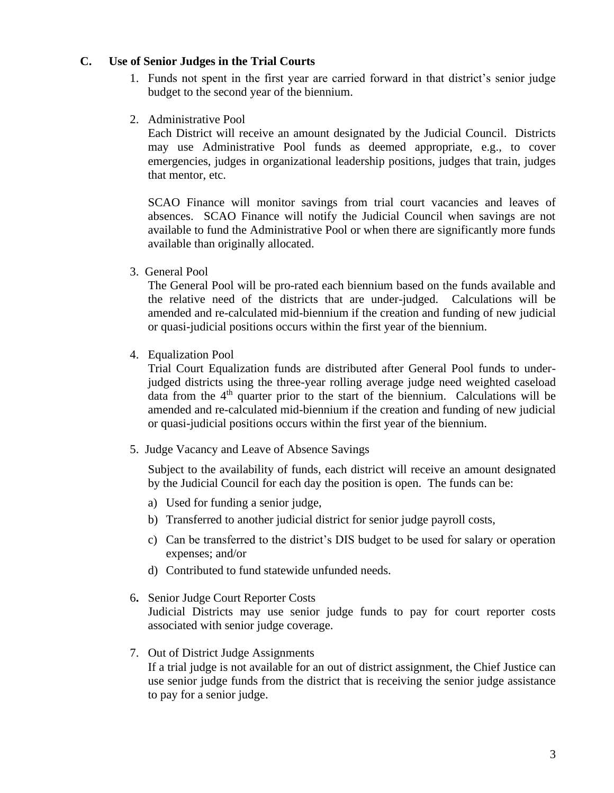#### **C. Use of Senior Judges in the Trial Courts**

- 1. Funds not spent in the first year are carried forward in that district's senior judge budget to the second year of the biennium.
- 2. Administrative Pool

Each District will receive an amount designated by the Judicial Council. Districts may use Administrative Pool funds as deemed appropriate, e.g., to cover emergencies, judges in organizational leadership positions, judges that train, judges that mentor, etc.

SCAO Finance will monitor savings from trial court vacancies and leaves of absences. SCAO Finance will notify the Judicial Council when savings are not available to fund the Administrative Pool or when there are significantly more funds available than originally allocated.

3. General Pool

The General Pool will be pro-rated each biennium based on the funds available and the relative need of the districts that are under-judged. Calculations will be amended and re-calculated mid-biennium if the creation and funding of new judicial or quasi-judicial positions occurs within the first year of the biennium.

4. Equalization Pool

Trial Court Equalization funds are distributed after General Pool funds to underjudged districts using the three-year rolling average judge need weighted caseload data from the  $4<sup>th</sup>$  quarter prior to the start of the biennium. Calculations will be amended and re-calculated mid-biennium if the creation and funding of new judicial or quasi-judicial positions occurs within the first year of the biennium.

5. Judge Vacancy and Leave of Absence Savings

Subject to the availability of funds, each district will receive an amount designated by the Judicial Council for each day the position is open. The funds can be:

- a) Used for funding a senior judge,
- b) Transferred to another judicial district for senior judge payroll costs,
- c) Can be transferred to the district's DIS budget to be used for salary or operation expenses; and/or
- d) Contributed to fund statewide unfunded needs.
- 6**.** Senior Judge Court Reporter Costs

Judicial Districts may use senior judge funds to pay for court reporter costs associated with senior judge coverage.

7. Out of District Judge Assignments

If a trial judge is not available for an out of district assignment, the Chief Justice can use senior judge funds from the district that is receiving the senior judge assistance to pay for a senior judge.